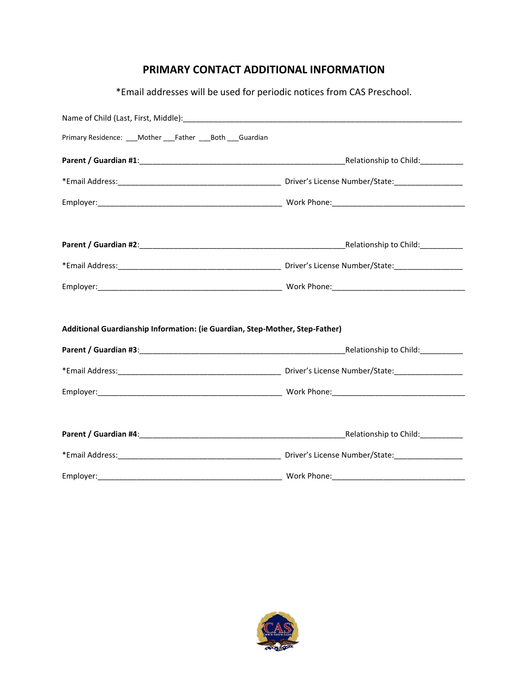### **PRIMARY CONTACT ADDITIONAL INFORMATION**

\*Email addresses will be used for periodic notices from CAS Preschool.

| Primary Residence: ___ Mother ___ Father ___ Both ___ Guardian               |  |
|------------------------------------------------------------------------------|--|
|                                                                              |  |
|                                                                              |  |
|                                                                              |  |
|                                                                              |  |
|                                                                              |  |
|                                                                              |  |
| Additional Guardianship Information: (ie Guardian, Step-Mother, Step-Father) |  |
|                                                                              |  |
|                                                                              |  |
|                                                                              |  |
|                                                                              |  |
|                                                                              |  |
|                                                                              |  |

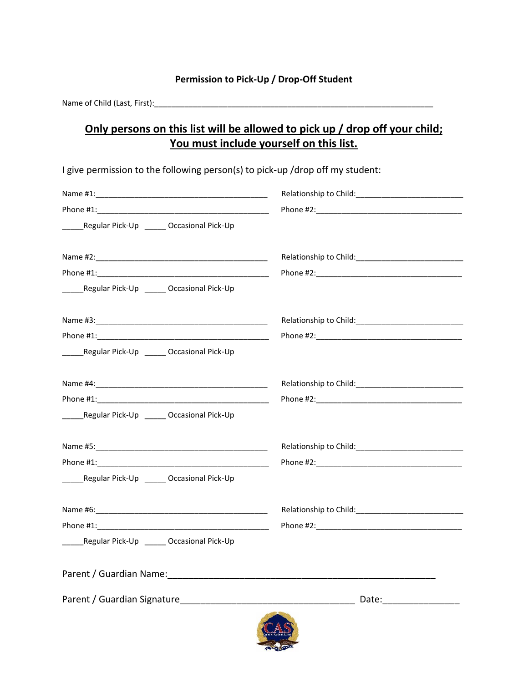#### **Permission to Pick-Up / Drop-Off Student**

Name of Child (Last, First):\_\_\_\_\_\_\_\_\_\_\_\_\_\_\_\_\_\_\_\_\_\_\_\_\_\_\_\_\_\_\_\_\_\_\_\_\_\_\_\_\_\_\_\_\_\_\_\_\_\_\_\_\_\_\_\_\_\_\_\_\_\_\_\_\_

# **Only persons on this list will be allowed to pick up / drop off your child; You must include yourself on this list.**

I give permission to the following person(s) to pick-up /drop off my student:

|                                                                                                                                                                                                                               | Relationship to Child:<br><u> Lettin and the contract of the contract of the contract of the contract of the contract of the contract of the contract of the contract of the contract of the contract of the contract of the contr</u> |
|-------------------------------------------------------------------------------------------------------------------------------------------------------------------------------------------------------------------------------|----------------------------------------------------------------------------------------------------------------------------------------------------------------------------------------------------------------------------------------|
|                                                                                                                                                                                                                               |                                                                                                                                                                                                                                        |
| Regular Pick-Up _______ Occasional Pick-Up                                                                                                                                                                                    |                                                                                                                                                                                                                                        |
|                                                                                                                                                                                                                               |                                                                                                                                                                                                                                        |
|                                                                                                                                                                                                                               |                                                                                                                                                                                                                                        |
| _______Regular Pick-Up _______ Occasional Pick-Up                                                                                                                                                                             |                                                                                                                                                                                                                                        |
|                                                                                                                                                                                                                               | Relationship to Child:<br><u>Letting and the contract of the contract of the contract of the contract of the contract of the contract of the contract of the contract of the contract of the contract of the contract of the contr</u> |
|                                                                                                                                                                                                                               |                                                                                                                                                                                                                                        |
| ______Regular Pick-Up ______ Occasional Pick-Up                                                                                                                                                                               |                                                                                                                                                                                                                                        |
|                                                                                                                                                                                                                               |                                                                                                                                                                                                                                        |
|                                                                                                                                                                                                                               |                                                                                                                                                                                                                                        |
| ________ Regular Pick-Up ________ Occasional Pick-Up                                                                                                                                                                          |                                                                                                                                                                                                                                        |
|                                                                                                                                                                                                                               |                                                                                                                                                                                                                                        |
| Phone #1: The contract of the contract of the contract of the contract of the contract of the contract of the contract of the contract of the contract of the contract of the contract of the contract of the contract of the |                                                                                                                                                                                                                                        |
| ______Regular Pick-Up ______ Occasional Pick-Up                                                                                                                                                                               |                                                                                                                                                                                                                                        |
|                                                                                                                                                                                                                               |                                                                                                                                                                                                                                        |
|                                                                                                                                                                                                                               |                                                                                                                                                                                                                                        |
| ______Regular Pick-Up ______ Occasional Pick-Up                                                                                                                                                                               |                                                                                                                                                                                                                                        |
|                                                                                                                                                                                                                               |                                                                                                                                                                                                                                        |
|                                                                                                                                                                                                                               | Date:___________________                                                                                                                                                                                                               |
|                                                                                                                                                                                                                               |                                                                                                                                                                                                                                        |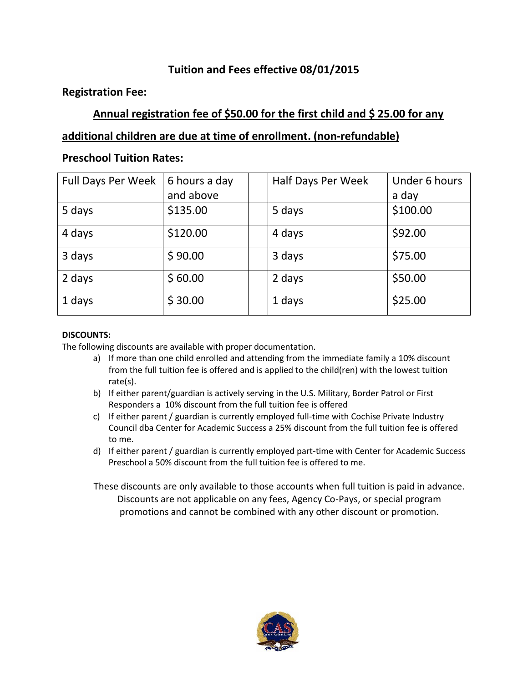### **Tuition and Fees effective 08/01/2015**

#### **Registration Fee:**

## **Annual registration fee of \$50.00 for the first child and \$ 25.00 for any**

#### **additional children are due at time of enrollment. (non-refundable)**

# Full Days Per Week  $\vert$  6 hours a day and above Half Days Per Week | Under 6 hours a day 5 days | \$135.00 | | 5 days | \$100.00 4 days | \$120.00 | | 4 days | \$92.00 3 days | \$ 90.00 | | 3 days | \$75.00 2 days | \$ 60.00 | | 2 days | \$50.00 1 days | \$ 30.00 | | 1 days | \$25.00

#### **Preschool Tuition Rates:**

#### **DISCOUNTS:**

The following discounts are available with proper documentation.

- a) If more than one child enrolled and attending from the immediate family a 10% discount from the full tuition fee is offered and is applied to the child(ren) with the lowest tuition rate(s).
- b) If either parent/guardian is actively serving in the U.S. Military, Border Patrol or First Responders a 10% discount from the full tuition fee is offered
- c) If either parent / guardian is currently employed full-time with Cochise Private Industry Council dba Center for Academic Success a 25% discount from the full tuition fee is offered to me.
- d) If either parent / guardian is currently employed part-time with Center for Academic Success Preschool a 50% discount from the full tuition fee is offered to me.

These discounts are only available to those accounts when full tuition is paid in advance. Discounts are not applicable on any fees, Agency Co-Pays, or special program promotions and cannot be combined with any other discount or promotion.